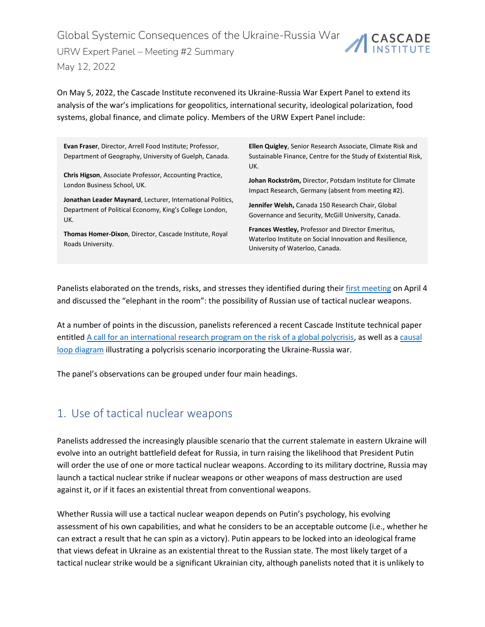Global Systemic Consequences of the Ukraine-Russia War CASCADE URW Expert Panel – Meeting #2 Summary May 12, 2022

On May 5, 2022, the Cascade Institute reconvened its Ukraine-Russia War Expert Panel to extend its analysis of the war's implications for geopolitics, international security, ideological polarization, food systems, global finance, and climate policy. Members of the URW Expert Panel include:

**Evan Fraser**, Director, Arrell Food Institute; Professor, Department of Geography, University of Guelph, Canada.

**Chris Higson**, Associate Professor, Accounting Practice, London Business School, UK.

**Jonathan Leader Maynard**, Lecturer, International Politics, Department of Political Economy, King's College London, UK.

**Thomas Homer-Dixon**, Director, Cascade Institute, Royal Roads University.

**Ellen Quigley**, Senior Research Associate, Climate Risk and Sustainable Finance, Centre for the Study of Existential Risk, UK.

**Johan Rockström,** Director, Potsdam Institute for Climate Impact Research, Germany (absent from meeting #2).

**Jennifer Welsh,** Canada 150 Research Chair, Global Governance and Security, McGill University, Canada.

**Frances Westley,** Professor and Director Emeritus, Waterloo Institute on Social Innovation and Resilience, University of Waterloo, Canada.

Panelists elaborated on the trends, risks, and stresses they identified during their first [meeting](https://cascadeinstitute.org/global-systemic-consequences-of-the-ukraine-russia-war/) on April 4 and discussed the "elephant in the room": the possibility of Russian use of tactical nuclear weapons.

At a number of points in the discussion, panelists referenced a recent Cascade Institute technical paper entitle[d A call for an international research program on the risk of a global polycrisis,](https://cascadeinstitute.org/technical-paper/a-call-for-an-international-research-program-on-the-risk-of-a-global-polycrisis/) as well as a [causal](https://cascadeinstitute.org/wp-content/uploads/2022/05/Polycrisis-2.0.jpg)  [loop diagram](https://cascadeinstitute.org/wp-content/uploads/2022/05/Polycrisis-2.0.jpg) illustrating a polycrisis scenario incorporating the Ukraine-Russia war.

The panel's observations can be grouped under four main headings.

#### 1. Use of tactical nuclear weapons

Panelists addressed the increasingly plausible scenario that the current stalemate in eastern Ukraine will evolve into an outright battlefield defeat for Russia, in turn raising the likelihood that President Putin will order the use of one or more tactical nuclear weapons. According to its military doctrine, Russia may launch a tactical nuclear strike if nuclear weapons or other weapons of mass destruction are used against it, or if it faces an existential threat from conventional weapons.

Whether Russia will use a tactical nuclear weapon depends on Putin's psychology, his evolving assessment of his own capabilities, and what he considers to be an acceptable outcome (i.e., whether he can extract a result that he can spin as a victory). Putin appears to be locked into an ideological frame that views defeat in Ukraine as an existential threat to the Russian state. The most likely target of a tactical nuclear strike would be a significant Ukrainian city, although panelists noted that it is unlikely to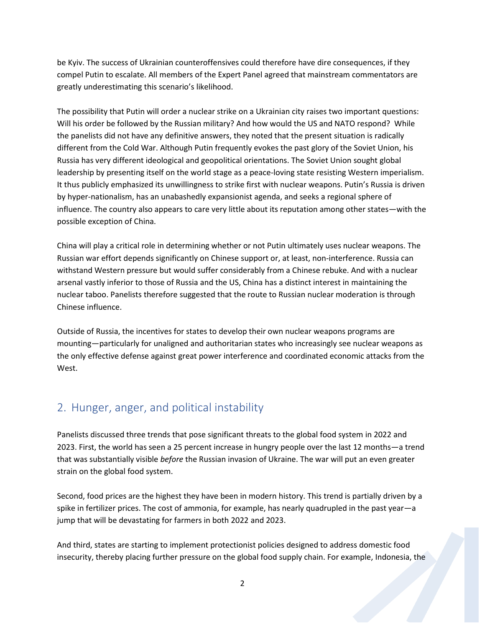be Kyiv. The success of Ukrainian counteroffensives could therefore have dire consequences, if they compel Putin to escalate. All members of the Expert Panel agreed that mainstream commentators are greatly underestimating this scenario's likelihood.

The possibility that Putin will order a nuclear strike on a Ukrainian city raises two important questions: Will his order be followed by the Russian military? And how would the US and NATO respond? While the panelists did not have any definitive answers, they noted that the present situation is radically different from the Cold War. Although Putin frequently evokes the past glory of the Soviet Union, his Russia has very different ideological and geopolitical orientations. The Soviet Union sought global leadership by presenting itself on the world stage as a peace-loving state resisting Western imperialism. It thus publicly emphasized its unwillingness to strike first with nuclear weapons. Putin's Russia is driven by hyper-nationalism, has an unabashedly expansionist agenda, and seeks a regional sphere of influence. The country also appears to care very little about its reputation among other states—with the possible exception of China.

China will play a critical role in determining whether or not Putin ultimately uses nuclear weapons. The Russian war effort depends significantly on Chinese support or, at least, non-interference. Russia can withstand Western pressure but would suffer considerably from a Chinese rebuke. And with a nuclear arsenal vastly inferior to those of Russia and the US, China has a distinct interest in maintaining the nuclear taboo. Panelists therefore suggested that the route to Russian nuclear moderation is through Chinese influence.

Outside of Russia, the incentives for states to develop their own nuclear weapons programs are mounting—particularly for unaligned and authoritarian states who increasingly see nuclear weapons as the only effective defense against great power interference and coordinated economic attacks from the West.

### 2. Hunger, anger, and political instability

Panelists discussed three trends that pose significant threats to the global food system in 2022 and 2023. First, the world has seen a 25 percent increase in hungry people over the last 12 months—a trend that was substantially visible *before* the Russian invasion of Ukraine. The war will put an even greater strain on the global food system.

Second, food prices are the highest they have been in modern history. This trend is partially driven by a spike in fertilizer prices. The cost of ammonia, for example, has nearly quadrupled in the past year—a jump that will be devastating for farmers in both 2022 and 2023.

And third, states are starting to implement protectionist policies designed to address domestic food insecurity, thereby placing further pressure on the global food supply chain. For example, Indonesia, the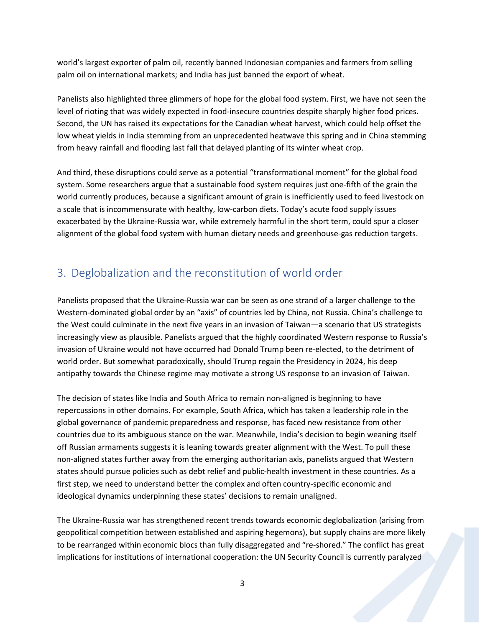world's largest exporter of palm oil, recently banned Indonesian companies and farmers from selling palm oil on international markets; and India has just banned the export of wheat.

Panelists also highlighted three glimmers of hope for the global food system. First, we have not seen the level of rioting that was widely expected in food-insecure countries despite sharply higher food prices. Second, the UN has raised its expectations for the Canadian wheat harvest, which could help offset the low wheat yields in India stemming from an unprecedented heatwave this spring and in China stemming from heavy rainfall and flooding last fall that delayed planting of its winter wheat crop.

And third, these disruptions could serve as a potential "transformational moment" for the global food system. Some researchers argue that a sustainable food system requires just one-fifth of the grain the world currently produces, because a significant amount of grain is inefficiently used to feed livestock on a scale that is incommensurate with healthy, low-carbon diets. Today's acute food supply issues exacerbated by the Ukraine-Russia war, while extremely harmful in the short term, could spur a closer alignment of the global food system with human dietary needs and greenhouse-gas reduction targets.

## 3. Deglobalization and the reconstitution of world order

Panelists proposed that the Ukraine-Russia war can be seen as one strand of a larger challenge to the Western-dominated global order by an "axis" of countries led by China, not Russia. China's challenge to the West could culminate in the next five years in an invasion of Taiwan—a scenario that US strategists increasingly view as plausible. Panelists argued that the highly coordinated Western response to Russia's invasion of Ukraine would not have occurred had Donald Trump been re-elected, to the detriment of world order. But somewhat paradoxically, should Trump regain the Presidency in 2024, his deep antipathy towards the Chinese regime may motivate a strong US response to an invasion of Taiwan.

The decision of states like India and South Africa to remain non-aligned is beginning to have repercussions in other domains. For example, South Africa, which has taken a leadership role in the global governance of pandemic preparedness and response, has faced new resistance from other countries due to its ambiguous stance on the war. Meanwhile, India's decision to begin weaning itself off Russian armaments suggests it is leaning towards greater alignment with the West. To pull these non-aligned states further away from the emerging authoritarian axis, panelists argued that Western states should pursue policies such as debt relief and public-health investment in these countries. As a first step, we need to understand better the complex and often country-specific economic and ideological dynamics underpinning these states' decisions to remain unaligned.

The Ukraine-Russia war has strengthened recent trends towards economic deglobalization (arising from geopolitical competition between established and aspiring hegemons), but supply chains are more likely to be rearranged within economic blocs than fully disaggregated and "re-shored." The conflict has great implications for institutions of international cooperation: the UN Security Council is currently paralyzed